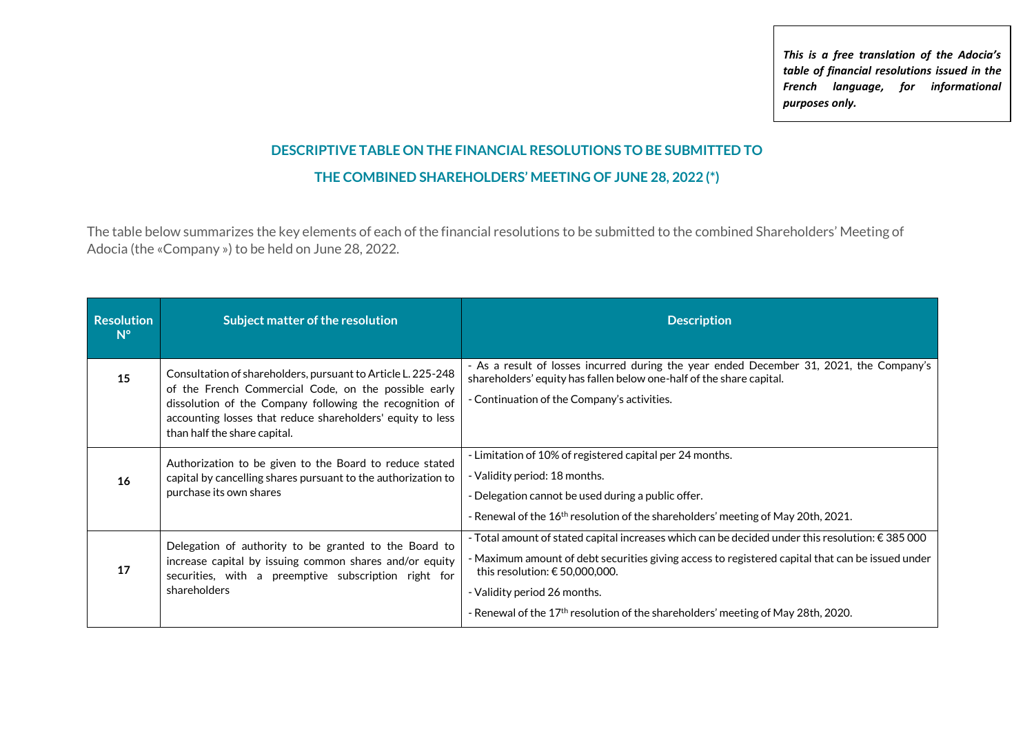*This is a free translation of the Adocia's table of financial resolutions issued in the French language, for informational purposes only.*

## **DESCRIPTIVE TABLE ON THE FINANCIAL RESOLUTIONS TO BE SUBMITTED TO THE COMBINED SHAREHOLDERS' MEETING OF JUNE 28, 2022 (\*)**

The table below summarizes the key elements of each of the financial resolutions to be submitted to the combined Shareholders' Meeting of Adocia (the «Company ») to be held on June 28, 2022.

| <b>Resolution</b><br>$N^{\circ}$ | Subject matter of the resolution                                                                                                                                                                                                                                              | <b>Description</b>                                                                                                                                                                                                                                                                                                                                                                       |
|----------------------------------|-------------------------------------------------------------------------------------------------------------------------------------------------------------------------------------------------------------------------------------------------------------------------------|------------------------------------------------------------------------------------------------------------------------------------------------------------------------------------------------------------------------------------------------------------------------------------------------------------------------------------------------------------------------------------------|
| 15                               | Consultation of shareholders, pursuant to Article L. 225-248<br>of the French Commercial Code, on the possible early<br>dissolution of the Company following the recognition of<br>accounting losses that reduce shareholders' equity to less<br>than half the share capital. | - As a result of losses incurred during the year ended December 31, 2021, the Company's<br>shareholders' equity has fallen below one-half of the share capital.<br>- Continuation of the Company's activities.                                                                                                                                                                           |
| 16                               | Authorization to be given to the Board to reduce stated<br>capital by cancelling shares pursuant to the authorization to<br>purchase its own shares                                                                                                                           | - Limitation of 10% of registered capital per 24 months.<br>- Validity period: 18 months.<br>- Delegation cannot be used during a public offer.<br>- Renewal of the 16 <sup>th</sup> resolution of the shareholders' meeting of May 20th, 2021.                                                                                                                                          |
| 17                               | Delegation of authority to be granted to the Board to<br>increase capital by issuing common shares and/or equity<br>securities, with a preemptive subscription right for<br>shareholders                                                                                      | - Total amount of stated capital increases which can be decided under this resolution: $\epsilon$ 385 000<br>- Maximum amount of debt securities giving access to registered capital that can be issued under<br>this resolution: $\epsilon$ 50,000,000.<br>- Validity period 26 months.<br>- Renewal of the 17 <sup>th</sup> resolution of the shareholders' meeting of May 28th, 2020. |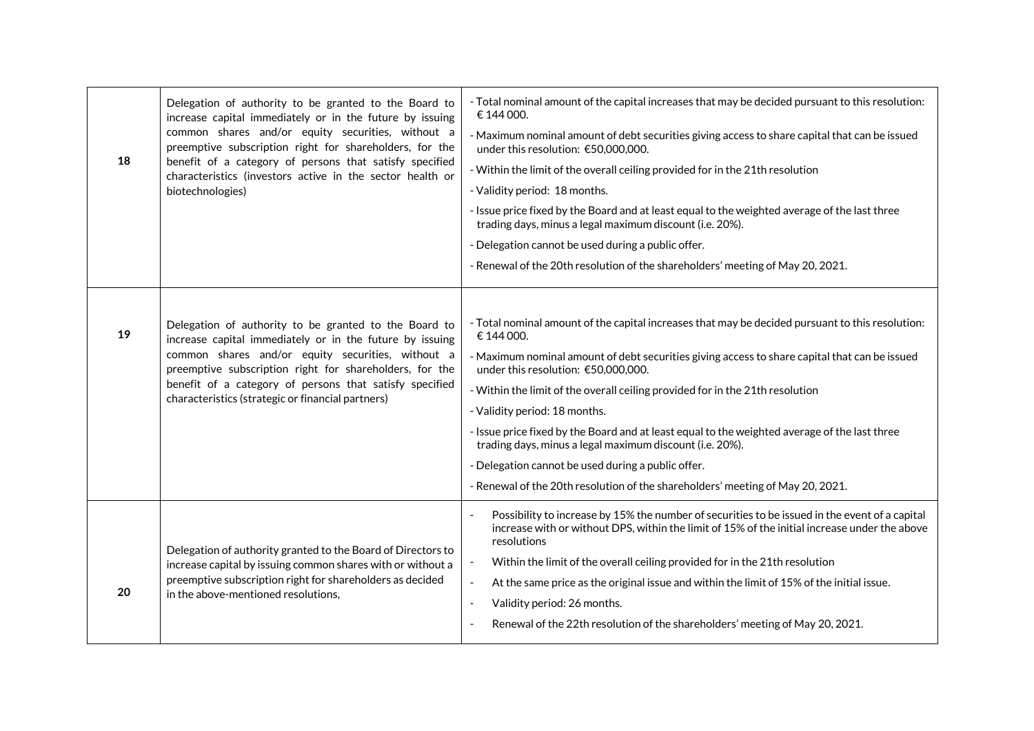| 18 | Delegation of authority to be granted to the Board to<br>increase capital immediately or in the future by issuing<br>common shares and/or equity securities, without a<br>preemptive subscription right for shareholders, for the<br>benefit of a category of persons that satisfy specified<br>characteristics (investors active in the sector health or<br>biotechnologies) | - Total nominal amount of the capital increases that may be decided pursuant to this resolution:<br>€ 144 000.<br>- Maximum nominal amount of debt securities giving access to share capital that can be issued<br>under this resolution: €50,000,000.<br>- Within the limit of the overall ceiling provided for in the 21th resolution<br>- Validity period: 18 months.<br>- Issue price fixed by the Board and at least equal to the weighted average of the last three<br>trading days, minus a legal maximum discount (i.e. 20%).<br>- Delegation cannot be used during a public offer.<br>- Renewal of the 20th resolution of the shareholders' meeting of May 20, 2021. |
|----|-------------------------------------------------------------------------------------------------------------------------------------------------------------------------------------------------------------------------------------------------------------------------------------------------------------------------------------------------------------------------------|-------------------------------------------------------------------------------------------------------------------------------------------------------------------------------------------------------------------------------------------------------------------------------------------------------------------------------------------------------------------------------------------------------------------------------------------------------------------------------------------------------------------------------------------------------------------------------------------------------------------------------------------------------------------------------|
| 19 | Delegation of authority to be granted to the Board to<br>increase capital immediately or in the future by issuing<br>common shares and/or equity securities, without a<br>preemptive subscription right for shareholders, for the<br>benefit of a category of persons that satisfy specified<br>characteristics (strategic or financial partners)                             | - Total nominal amount of the capital increases that may be decided pursuant to this resolution:<br>€ 144 000.<br>- Maximum nominal amount of debt securities giving access to share capital that can be issued<br>under this resolution: €50,000,000.<br>- Within the limit of the overall ceiling provided for in the 21th resolution<br>- Validity period: 18 months.<br>- Issue price fixed by the Board and at least equal to the weighted average of the last three<br>trading days, minus a legal maximum discount (i.e. 20%).<br>- Delegation cannot be used during a public offer.<br>- Renewal of the 20th resolution of the shareholders' meeting of May 20, 2021. |
| 20 | Delegation of authority granted to the Board of Directors to<br>increase capital by issuing common shares with or without a<br>preemptive subscription right for shareholders as decided<br>in the above-mentioned resolutions,                                                                                                                                               | Possibility to increase by 15% the number of securities to be issued in the event of a capital<br>increase with or without DPS, within the limit of 15% of the initial increase under the above<br>resolutions<br>Within the limit of the overall ceiling provided for in the 21th resolution<br>At the same price as the original issue and within the limit of 15% of the initial issue.<br>$\omega$<br>Validity period: 26 months.<br>$\overline{\phantom{a}}$<br>Renewal of the 22th resolution of the shareholders' meeting of May 20, 2021.                                                                                                                             |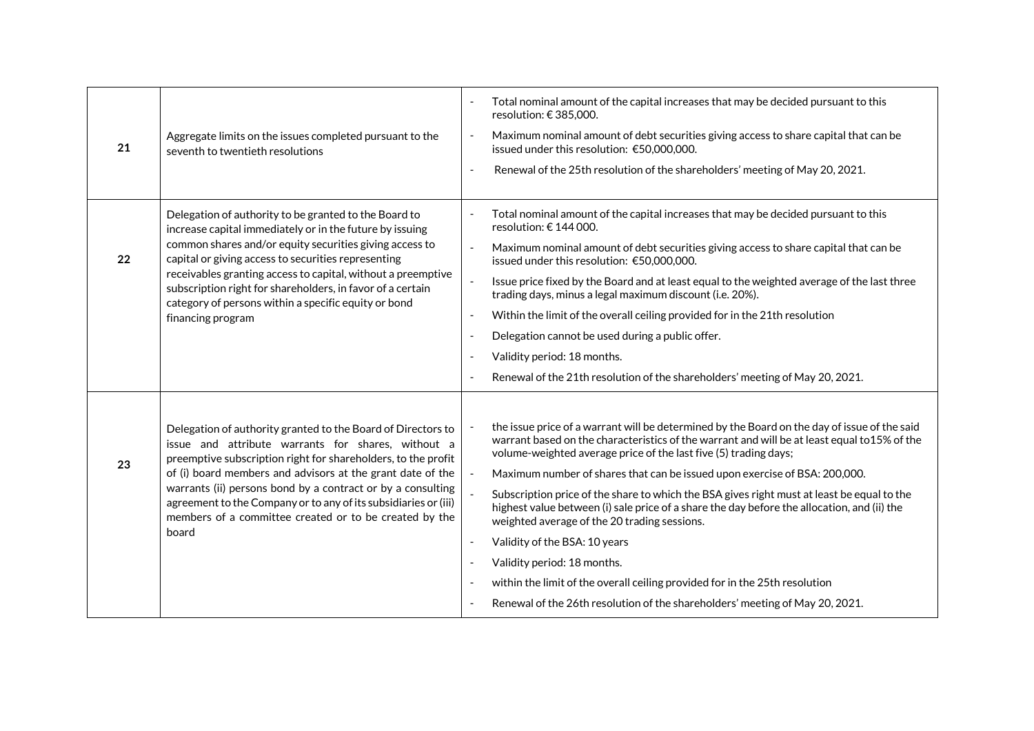| 21 | Aggregate limits on the issues completed pursuant to the<br>seventh to twentieth resolutions                                                                                                                                                                                                                                                                                                                                                           |                                                                                                                      | Total nominal amount of the capital increases that may be decided pursuant to this<br>resolution: €385,000.<br>Maximum nominal amount of debt securities giving access to share capital that can be<br>issued under this resolution: €50,000,000.<br>Renewal of the 25th resolution of the shareholders' meeting of May 20, 2021.                                                                                                                                                                                                                                                                                                                                                                                                                                                                                          |
|----|--------------------------------------------------------------------------------------------------------------------------------------------------------------------------------------------------------------------------------------------------------------------------------------------------------------------------------------------------------------------------------------------------------------------------------------------------------|----------------------------------------------------------------------------------------------------------------------|----------------------------------------------------------------------------------------------------------------------------------------------------------------------------------------------------------------------------------------------------------------------------------------------------------------------------------------------------------------------------------------------------------------------------------------------------------------------------------------------------------------------------------------------------------------------------------------------------------------------------------------------------------------------------------------------------------------------------------------------------------------------------------------------------------------------------|
| 22 | Delegation of authority to be granted to the Board to<br>increase capital immediately or in the future by issuing<br>common shares and/or equity securities giving access to<br>capital or giving access to securities representing<br>receivables granting access to capital, without a preemptive<br>subscription right for shareholders, in favor of a certain<br>category of persons within a specific equity or bond<br>financing program         | $\overline{a}$<br>$\overline{a}$<br>$\overline{\phantom{a}}$<br>$\overline{\phantom{a}}$<br>$\overline{\phantom{a}}$ | Total nominal amount of the capital increases that may be decided pursuant to this<br>resolution: $\epsilon$ 144 000.<br>Maximum nominal amount of debt securities giving access to share capital that can be<br>issued under this resolution: €50,000,000.<br>Issue price fixed by the Board and at least equal to the weighted average of the last three<br>trading days, minus a legal maximum discount (i.e. 20%).<br>Within the limit of the overall ceiling provided for in the 21th resolution<br>Delegation cannot be used during a public offer.<br>Validity period: 18 months.<br>Renewal of the 21th resolution of the shareholders' meeting of May 20, 2021.                                                                                                                                                   |
| 23 | Delegation of authority granted to the Board of Directors to<br>issue and attribute warrants for shares, without a<br>preemptive subscription right for shareholders, to the profit<br>of (i) board members and advisors at the grant date of the<br>warrants (ii) persons bond by a contract or by a consulting<br>agreement to the Company or to any of its subsidiaries or (iii)<br>members of a committee created or to be created by the<br>board | $\overline{\phantom{a}}$<br>$\overline{\phantom{a}}$                                                                 | the issue price of a warrant will be determined by the Board on the day of issue of the said<br>warrant based on the characteristics of the warrant and will be at least equal to 15% of the<br>volume-weighted average price of the last five (5) trading days;<br>Maximum number of shares that can be issued upon exercise of BSA: 200,000.<br>Subscription price of the share to which the BSA gives right must at least be equal to the<br>highest value between (i) sale price of a share the day before the allocation, and (ii) the<br>weighted average of the 20 trading sessions.<br>Validity of the BSA: 10 years<br>Validity period: 18 months.<br>within the limit of the overall ceiling provided for in the 25th resolution<br>Renewal of the 26th resolution of the shareholders' meeting of May 20, 2021. |